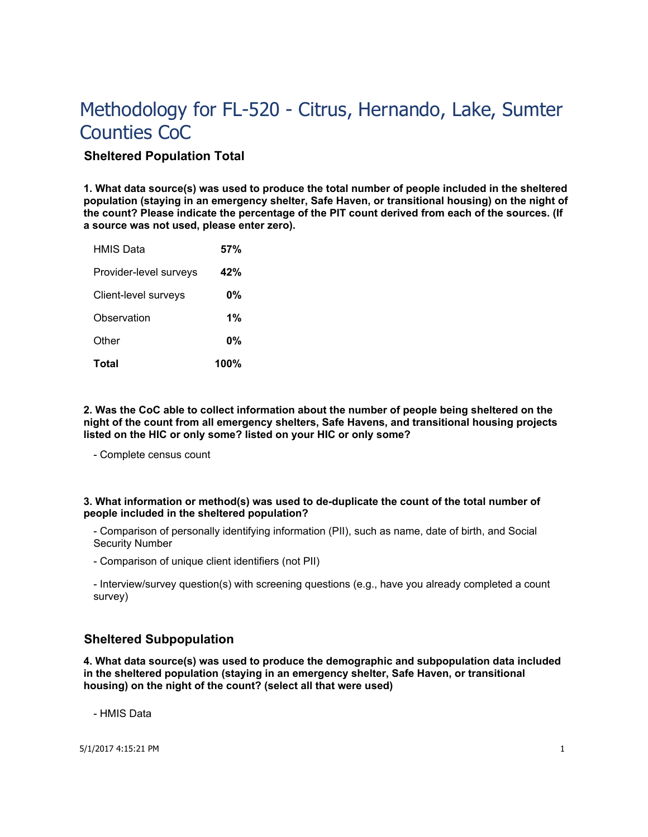# **Sheltered Population Total**

**1. What data source(s) was used to produce the total number of people included in the sheltered population (staying in an emergency shelter, Safe Haven, or transitional housing) on the night of the count? Please indicate the percentage of the PIT count derived from each of the sources. (If a source was not used, please enter zero).**

| Other                               | 0%       |
|-------------------------------------|----------|
| Client-level surveys<br>Observation | 0%<br>1% |
| Provider-level surveys              | 42%      |
| <b>HMIS Data</b>                    | 57%      |

**2. Was the CoC able to collect information about the number of people being sheltered on the night of the count from all emergency shelters, Safe Havens, and transitional housing projects listed on the HIC or only some? listed on your HIC or only some?**

- Complete census count

## **3. What information or method(s) was used to de-duplicate the count of the total number of people included in the sheltered population?**

- Comparison of personally identifying information (PII), such as name, date of birth, and Social Security Number

- Comparison of unique client identifiers (not PII)

- Interview/survey question(s) with screening questions (e.g., have you already completed a count survey)

# **Sheltered Subpopulation**

**4. What data source(s) was used to produce the demographic and subpopulation data included in the sheltered population (staying in an emergency shelter, Safe Haven, or transitional housing) on the night of the count? (select all that were used)**

- HMIS Data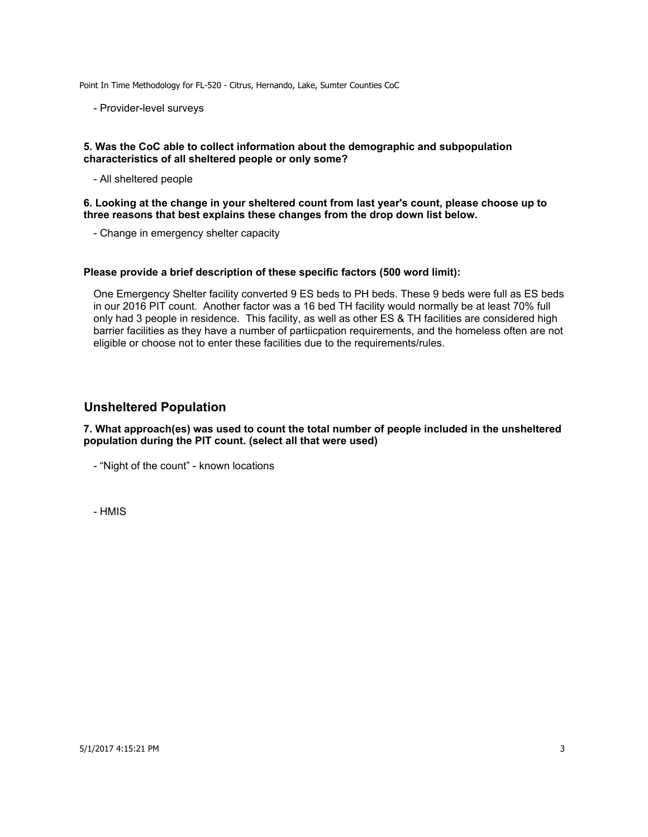- Provider-level surveys

### **5. Was the CoC able to collect information about the demographic and subpopulation characteristics of all sheltered people or only some?**

- All sheltered people

**6. Looking at the change in your sheltered count from last year's count, please choose up to three reasons that best explains these changes from the drop down list below.** 

- Change in emergency shelter capacity

### **Please provide a brief description of these specific factors (500 word limit):**

One Emergency Shelter facility converted 9 ES beds to PH beds. These 9 beds were full as ES beds in our 2016 PIT count. Another factor was a 16 bed TH facility would normally be at least 70% full only had 3 people in residence. This facility, as well as other ES & TH facilities are considered high barrier facilities as they have a number of partiicpation requirements, and the homeless often are not eligible or choose not to enter these facilities due to the requirements/rules.

## **Unsheltered Population**

**7. What approach(es) was used to count the total number of people included in the unsheltered population during the PIT count. (select all that were used)**

- "Night of the count" - known locations

- HMIS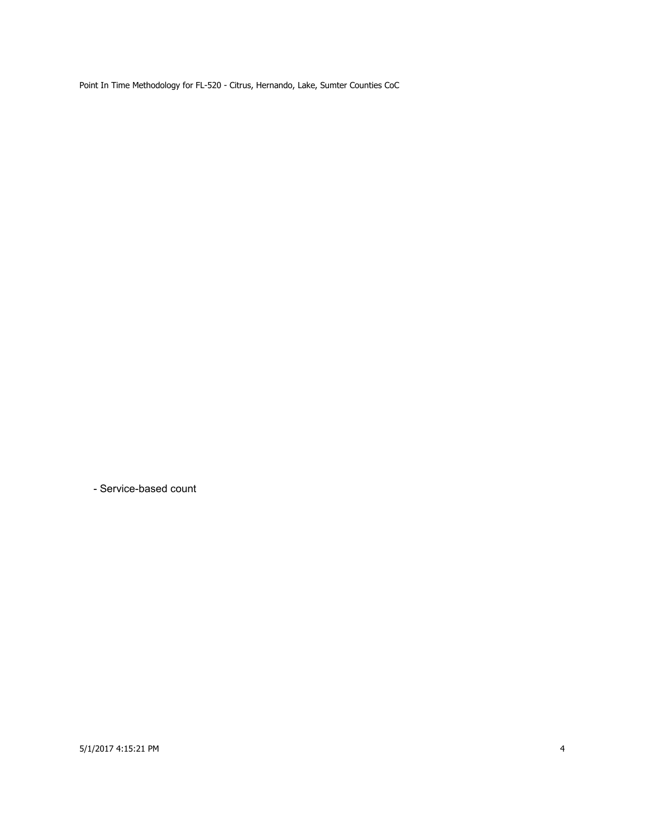- Service-based count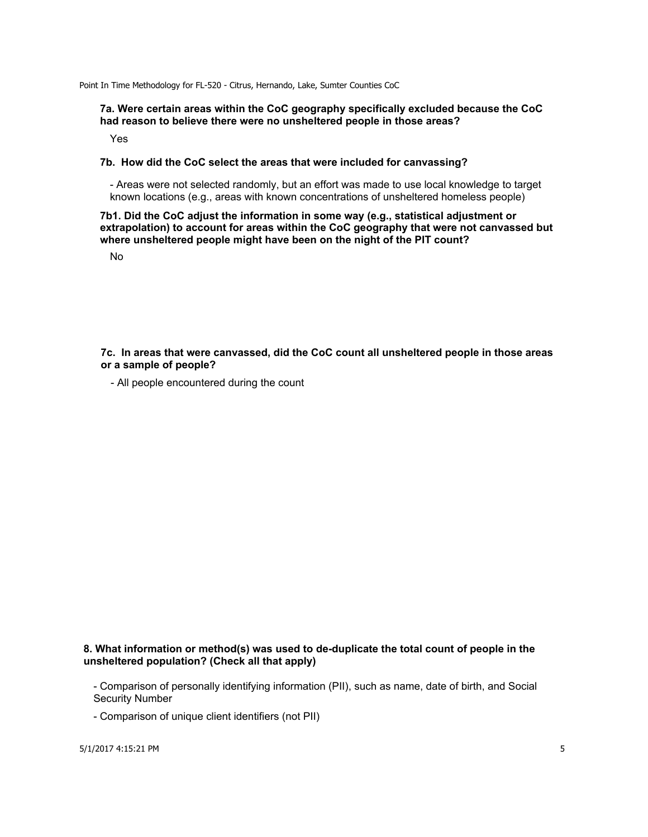#### **7a. Were certain areas within the CoC geography specifically excluded because the CoC had reason to believe there were no unsheltered people in those areas?**

Yes

#### **7b. How did the CoC select the areas that were included for canvassing?**

- Areas were not selected randomly, but an effort was made to use local knowledge to target known locations (e.g., areas with known concentrations of unsheltered homeless people)

### **7b1. Did the CoC adjust the information in some way (e.g., statistical adjustment or extrapolation) to account for areas within the CoC geography that were not canvassed but where unsheltered people might have been on the night of the PIT count?**

No

**7c. In areas that were canvassed, did the CoC count all unsheltered people in those areas or a sample of people?**

- All people encountered during the count

## **8. What information or method(s) was used to de-duplicate the total count of people in the unsheltered population? (Check all that apply)**

- Comparison of personally identifying information (PII), such as name, date of birth, and Social Security Number

- Comparison of unique client identifiers (not PII)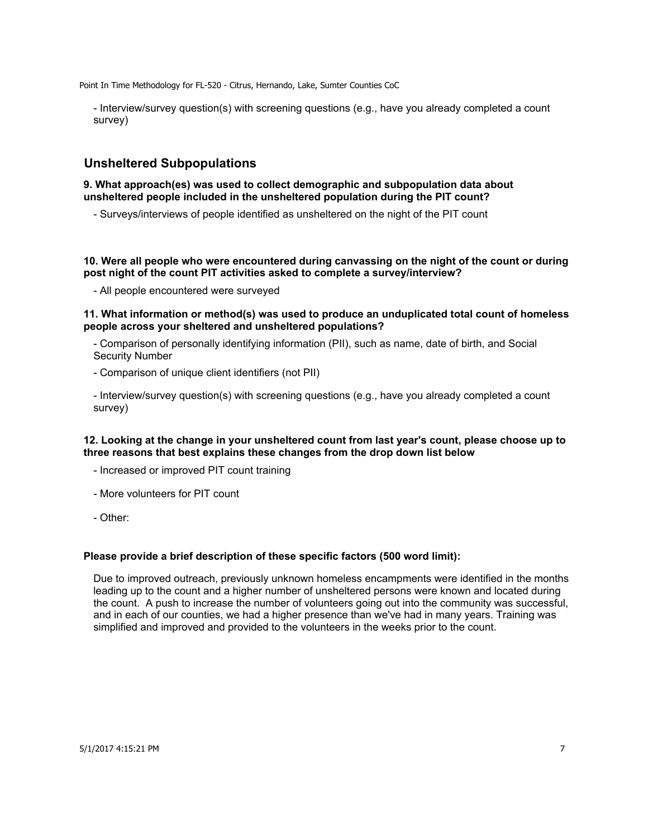- Interview/survey question(s) with screening questions (e.g., have you already completed a count survey)

# **Unsheltered Subpopulations**

#### **9. What approach(es) was used to collect demographic and subpopulation data about unsheltered people included in the unsheltered population during the PIT count?**

- Surveys/interviews of people identified as unsheltered on the night of the PIT count

**10. Were all people who were encountered during canvassing on the night of the count or during post night of the count PIT activities asked to complete a survey/interview?**

- All people encountered were surveyed

#### **11. What information or method(s) was used to produce an unduplicated total count of homeless people across your sheltered and unsheltered populations?**

- Comparison of personally identifying information (PII), such as name, date of birth, and Social Security Number
- Comparison of unique client identifiers (not PII)

- Interview/survey question(s) with screening questions (e.g., have you already completed a count survey)

### **12. Looking at the change in your unsheltered count from last year's count, please choose up to three reasons that best explains these changes from the drop down list below**

- Increased or improved PIT count training
- More volunteers for PIT count
- Other:

### **Please provide a brief description of these specific factors (500 word limit):**

Due to improved outreach, previously unknown homeless encampments were identified in the months leading up to the count and a higher number of unsheltered persons were known and located during the count. A push to increase the number of volunteers going out into the community was successful, and in each of our counties, we had a higher presence than we've had in many years. Training was simplified and improved and provided to the volunteers in the weeks prior to the count.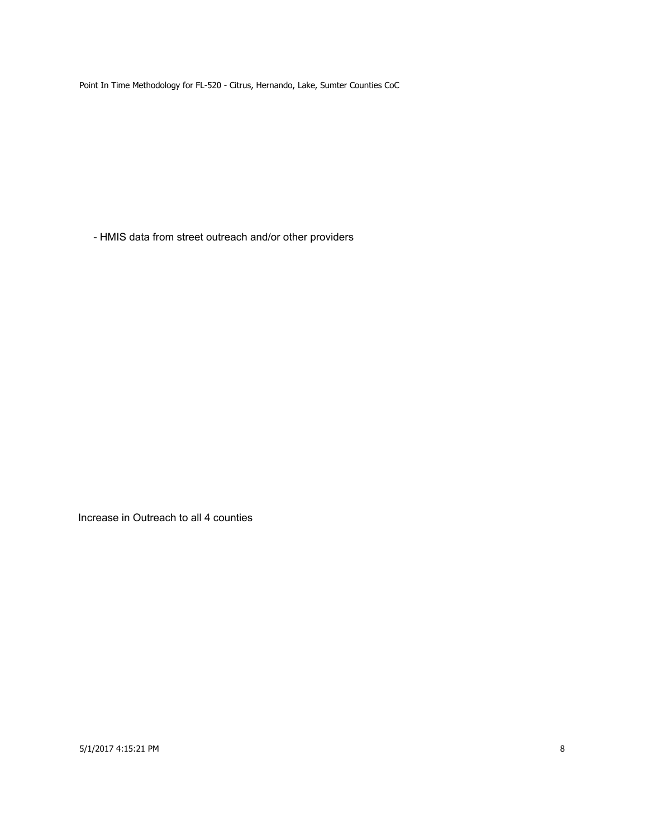- HMIS data from street outreach and/or other providers

Increase in Outreach to all 4 counties